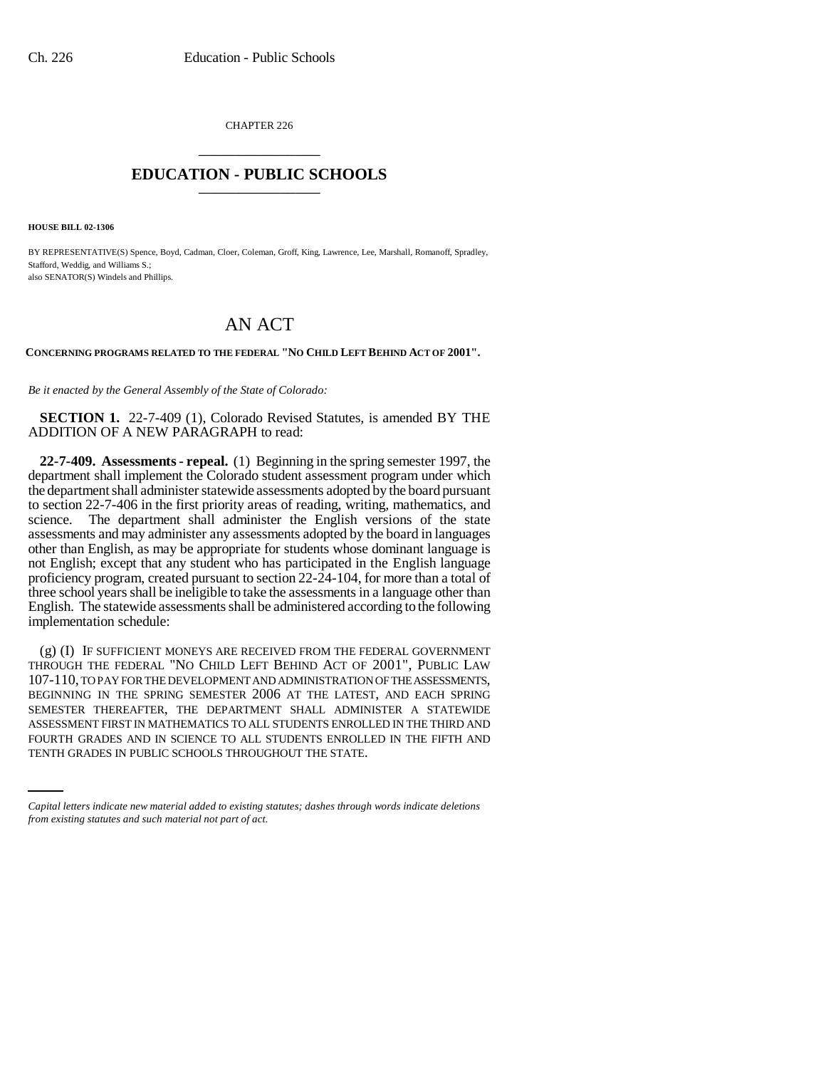CHAPTER 226 \_\_\_\_\_\_\_\_\_\_\_\_\_\_\_

## **EDUCATION - PUBLIC SCHOOLS** \_\_\_\_\_\_\_\_\_\_\_\_\_\_\_

**HOUSE BILL 02-1306**

BY REPRESENTATIVE(S) Spence, Boyd, Cadman, Cloer, Coleman, Groff, King, Lawrence, Lee, Marshall, Romanoff, Spradley, Stafford, Weddig, and Williams S.; also SENATOR(S) Windels and Phillips.

## AN ACT

## **CONCERNING PROGRAMS RELATED TO THE FEDERAL "NO CHILD LEFT BEHIND ACT OF 2001".**

*Be it enacted by the General Assembly of the State of Colorado:*

**SECTION 1.** 22-7-409 (1), Colorado Revised Statutes, is amended BY THE ADDITION OF A NEW PARAGRAPH to read:

**22-7-409. Assessments - repeal.** (1) Beginning in the spring semester 1997, the department shall implement the Colorado student assessment program under which the department shall administer statewide assessments adopted by the board pursuant to section 22-7-406 in the first priority areas of reading, writing, mathematics, and science. The department shall administer the English versions of the state assessments and may administer any assessments adopted by the board in languages other than English, as may be appropriate for students whose dominant language is not English; except that any student who has participated in the English language proficiency program, created pursuant to section 22-24-104, for more than a total of three school years shall be ineligible to take the assessments in a language other than English. The statewide assessments shall be administered according to the following implementation schedule:

ASSESSMENT FIRST IN MATHEMATICS TO ALL STUDENTS ENROLLED IN THE THIRD AND (g) (I) IF SUFFICIENT MONEYS ARE RECEIVED FROM THE FEDERAL GOVERNMENT THROUGH THE FEDERAL "NO CHILD LEFT BEHIND ACT OF 2001", PUBLIC LAW 107-110, TO PAY FOR THE DEVELOPMENT AND ADMINISTRATION OF THE ASSESSMENTS, BEGINNING IN THE SPRING SEMESTER 2006 AT THE LATEST, AND EACH SPRING SEMESTER THEREAFTER, THE DEPARTMENT SHALL ADMINISTER A STATEWIDE FOURTH GRADES AND IN SCIENCE TO ALL STUDENTS ENROLLED IN THE FIFTH AND TENTH GRADES IN PUBLIC SCHOOLS THROUGHOUT THE STATE.

*Capital letters indicate new material added to existing statutes; dashes through words indicate deletions from existing statutes and such material not part of act.*